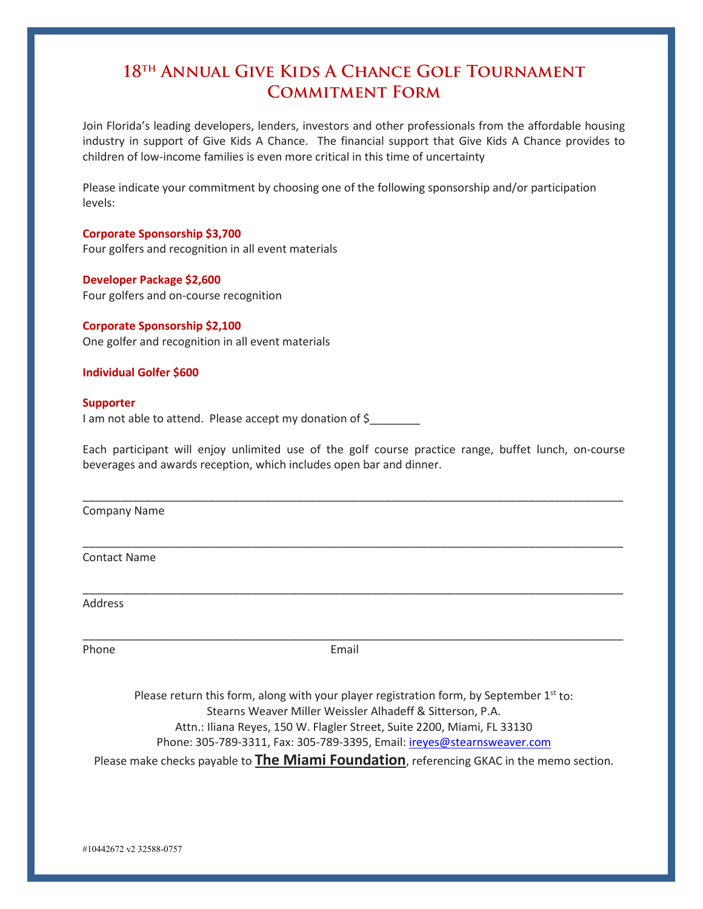# **18th Annual Give Kids A Chance Golf Tournament Commitment Form**

Join Florida's leading developers, lenders, investors and other professionals from the affordable housing industry in support of Give Kids A Chance. The financial support that Give Kids A Chance provides to children of low-income families is even more critical in this time of uncertainty

Please indicate your commitment by choosing one of the following sponsorship and/or participation levels:

# **Corporate Sponsorship \$3,700**

Four golfers and recognition in all event materials

# **Developer Package \$2,600**

Four golfers and on-course recognition

# **Corporate Sponsorship \$2,100**

One golfer and recognition in all event materials

## **Individual Golfer \$600**

## **Supporter**

I am not able to attend. Please accept my donation of \$

Each participant will enjoy unlimited use of the golf course practice range, buffet lunch, on-course beverages and awards reception, which includes open bar and dinner.

\_\_\_\_\_\_\_\_\_\_\_\_\_\_\_\_\_\_\_\_\_\_\_\_\_\_\_\_\_\_\_\_\_\_\_\_\_\_\_\_\_\_\_\_\_\_\_\_\_\_\_\_\_\_\_\_\_\_\_\_\_\_\_\_\_\_\_\_\_\_\_\_\_\_\_\_\_\_\_\_\_\_\_\_\_\_

\_\_\_\_\_\_\_\_\_\_\_\_\_\_\_\_\_\_\_\_\_\_\_\_\_\_\_\_\_\_\_\_\_\_\_\_\_\_\_\_\_\_\_\_\_\_\_\_\_\_\_\_\_\_\_\_\_\_\_\_\_\_\_\_\_\_\_\_\_\_\_\_\_\_\_\_\_\_\_\_\_\_\_\_\_\_

\_\_\_\_\_\_\_\_\_\_\_\_\_\_\_\_\_\_\_\_\_\_\_\_\_\_\_\_\_\_\_\_\_\_\_\_\_\_\_\_\_\_\_\_\_\_\_\_\_\_\_\_\_\_\_\_\_\_\_\_\_\_\_\_\_\_\_\_\_\_\_\_\_\_\_\_\_\_\_\_\_\_\_\_\_\_

Company Name

Contact Name

Address

Phone **Email** 

\_\_\_\_\_\_\_\_\_\_\_\_\_\_\_\_\_\_\_\_\_\_\_\_\_\_\_\_\_\_\_\_\_\_\_\_\_\_\_\_\_\_\_\_\_\_\_\_\_\_\_\_\_\_\_\_\_\_\_\_\_\_\_\_\_\_\_\_\_\_\_\_\_\_\_\_\_\_\_\_\_\_\_\_\_\_

Please return this form, along with your player registration form, by September  $1<sup>st</sup>$  to: Stearns Weaver Miller Weissler Alhadeff & Sitterson, P.A. Attn.: Iliana Reyes, 150 W. Flagler Street, Suite 2200, Miami, FL 33130 Phone: 305-789-3311, Fax: 305-789-3395, Email: [ireyes@stearnsweaver.com](mailto:ireyes@stearnsweaver.com) Please make checks payable to **The Miami Foundation**, referencing GKAC in the memo section.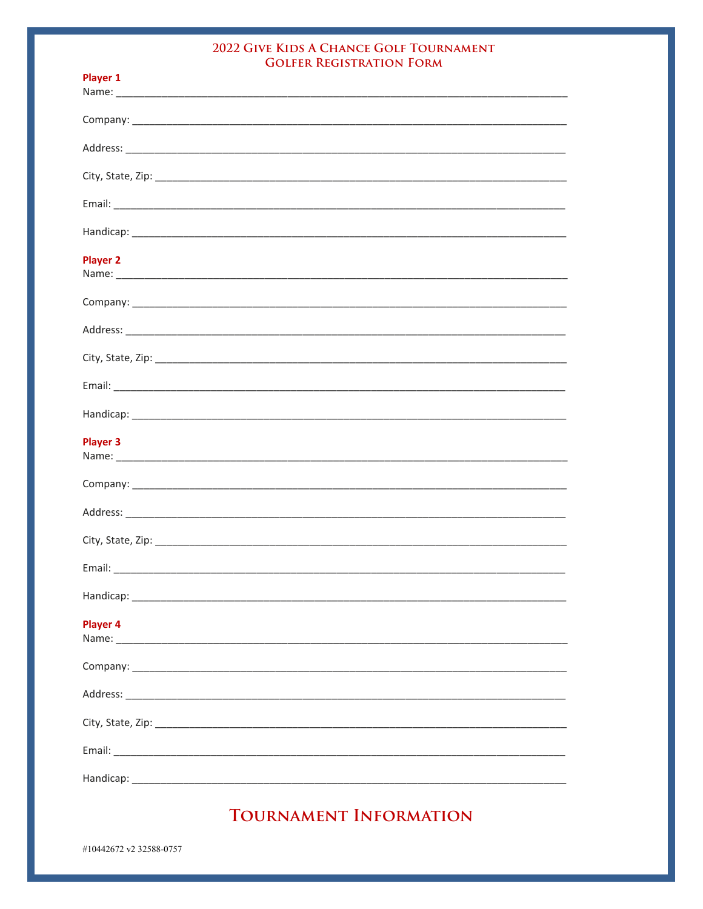# 2022 GIVE KIDS A CHANCE GOLF TOURNAMENT **GOLFER REGISTRATION FORM**

| <b>Player 1</b> |
|-----------------|
|                 |
|                 |
|                 |
|                 |
|                 |
| <b>Player 2</b> |
|                 |
|                 |
|                 |
|                 |
|                 |
| <b>Player 3</b> |
|                 |
|                 |
|                 |
|                 |
|                 |
| <b>Player 4</b> |
|                 |
|                 |
|                 |
|                 |
|                 |

TOURNAMENT INFORMATION